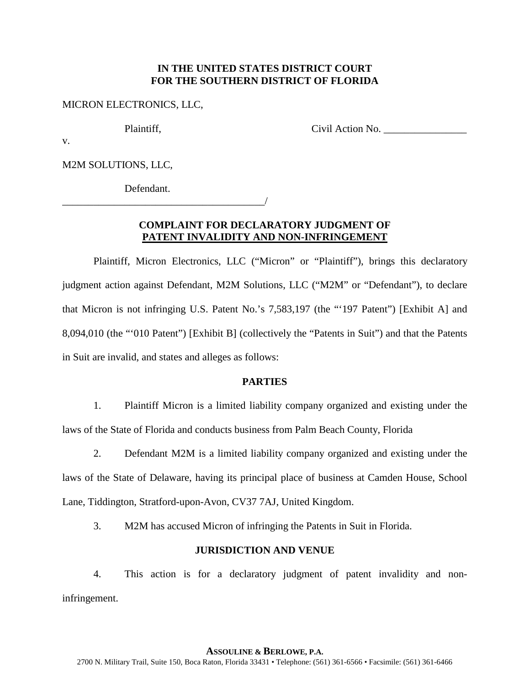# **IN THE UNITED STATES DISTRICT COURT FOR THE SOUTHERN DISTRICT OF FLORIDA**

#### MICRON ELECTRONICS, LLC,

Plaintiff, Civil Action No.

v.

M2M SOLUTIONS, LLC,

Defendant.

\_\_\_\_\_\_\_\_\_\_\_\_\_\_\_\_\_\_\_\_\_\_\_\_\_\_\_\_\_\_\_\_\_\_\_\_\_\_\_/

**COMPLAINT FOR DECLARATORY JUDGMENT OF PATENT INVALIDITY AND NON-INFRINGEMENT**

Plaintiff, Micron Electronics, LLC ("Micron" or "Plaintiff"), brings this declaratory judgment action against Defendant, M2M Solutions, LLC ("M2M" or "Defendant"), to declare that Micron is not infringing U.S. Patent No.'s 7,583,197 (the "'197 Patent") [Exhibit A] and 8,094,010 (the "'010 Patent") [Exhibit B] (collectively the "Patents in Suit") and that the Patents in Suit are invalid, and states and alleges as follows:

#### **PARTIES**

1. Plaintiff Micron is a limited liability company organized and existing under the laws of the State of Florida and conducts business from Palm Beach County, Florida

2. Defendant M2M is a limited liability company organized and existing under the laws of the State of Delaware, having its principal place of business at Camden House, School Lane, Tiddington, Stratford-upon-Avon, CV37 7AJ, United Kingdom.

3. M2M has accused Micron of infringing the Patents in Suit in Florida.

#### **JURISDICTION AND VENUE**

4. This action is for a declaratory judgment of patent invalidity and noninfringement.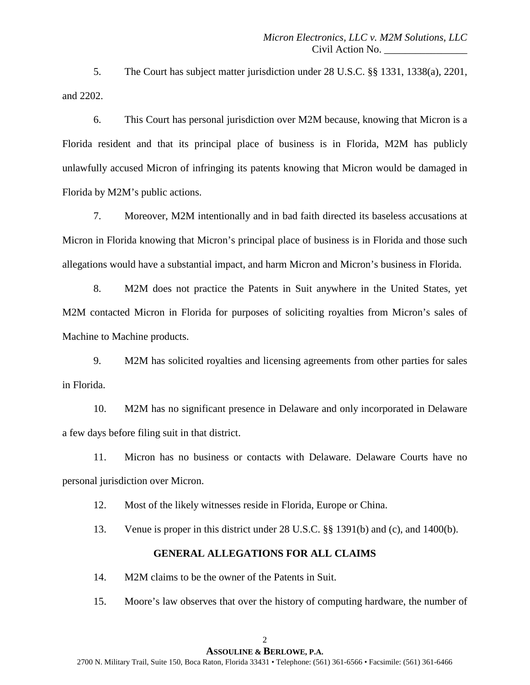5. The Court has subject matter jurisdiction under 28 U.S.C. §§ 1331, 1338(a), 2201, and 2202.

6. This Court has personal jurisdiction over M2M because, knowing that Micron is a Florida resident and that its principal place of business is in Florida, M2M has publicly unlawfully accused Micron of infringing its patents knowing that Micron would be damaged in Florida by M2M's public actions.

7. Moreover, M2M intentionally and in bad faith directed its baseless accusations at Micron in Florida knowing that Micron's principal place of business is in Florida and those such allegations would have a substantial impact, and harm Micron and Micron's business in Florida.

8. M2M does not practice the Patents in Suit anywhere in the United States, yet M2M contacted Micron in Florida for purposes of soliciting royalties from Micron's sales of Machine to Machine products.

9. M2M has solicited royalties and licensing agreements from other parties for sales in Florida.

10. M2M has no significant presence in Delaware and only incorporated in Delaware a few days before filing suit in that district.

11. Micron has no business or contacts with Delaware. Delaware Courts have no personal jurisdiction over Micron.

12. Most of the likely witnesses reside in Florida, Europe or China.

13. Venue is proper in this district under 28 U.S.C. §§ 1391(b) and (c), and 1400(b).

### **GENERAL ALLEGATIONS FOR ALL CLAIMS**

14. M2M claims to be the owner of the Patents in Suit.

15. Moore's law observes that over the history of computing hardware, the number of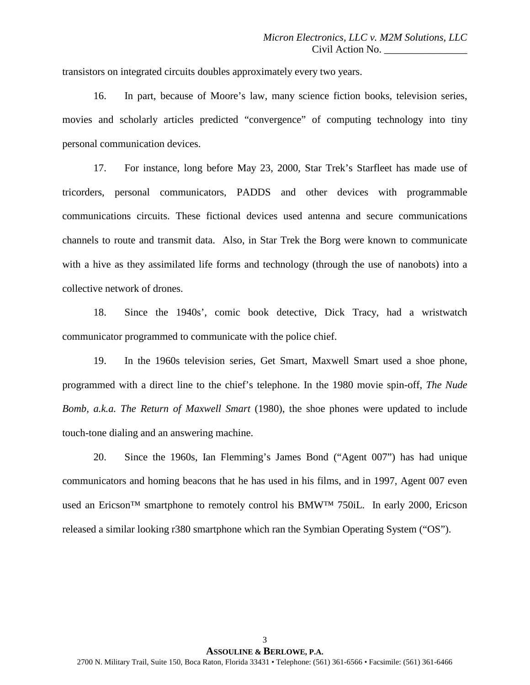transistors on integrated circuits doubles approximately every two years.

16. In part, because of Moore's law, many science fiction books, television series, movies and scholarly articles predicted "convergence" of computing technology into tiny personal communication devices.

17. For instance, long before May 23, 2000, Star Trek's Starfleet has made use of tricorders, personal communicators, PADDS and other devices with programmable communications circuits. These fictional devices used antenna and secure communications channels to route and transmit data. Also, in Star Trek the Borg were known to communicate with a hive as they assimilated life forms and technology (through the use of nanobots) into a collective network of drones.

18. Since the 1940s', comic book detective, Dick Tracy, had a wristwatch communicator programmed to communicate with the police chief.

19. In the 1960s television series, Get Smart, Maxwell Smart used a shoe phone, programmed with a direct line to the chief's telephone. In the 1980 movie spin-off, *The Nude Bomb, a.k.a. The Return of Maxwell Smart* (1980), the shoe phones were updated to include touch-tone dialing and an answering machine.

20. Since the 1960s, Ian Flemming's James Bond ("Agent 007") has had unique communicators and homing beacons that he has used in his films, and in 1997, Agent 007 even used an Ericson™ smartphone to remotely control his BMW™ 750iL. In early 2000, Ericson released a similar looking r380 smartphone which ran the Symbian Operating System ("OS").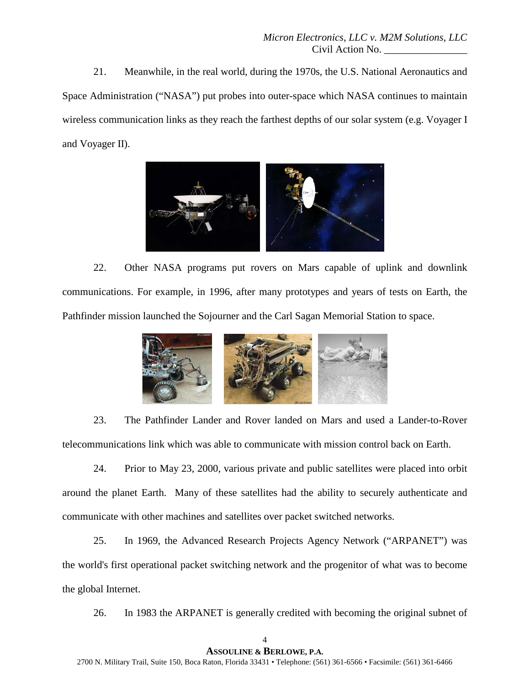21. Meanwhile, in the real world, during the 1970s, the U.S. National Aeronautics and Space Administration ("NASA") put probes into outer-space which NASA continues to maintain wireless communication links as they reach the farthest depths of our solar system (e.g. Voyager I and Voyager II).



22. Other NASA programs put rovers on Mars capable of uplink and downlink communications. For example, in 1996, after many prototypes and years of tests on Earth, the Pathfinder mission launched the Sojourner and the Carl Sagan Memorial Station to space.



23. The Pathfinder Lander and Rover landed on Mars and used a Lander-to-Rover telecommunications link which was able to communicate with mission control back on Earth.

24. Prior to May 23, 2000, various private and public satellites were placed into orbit around the planet Earth. Many of these satellites had the ability to securely authenticate and communicate with other machines and satellites over packet switched networks.

25. In 1969, the Advanced Research Projects Agency Network ("ARPANET") was the world's first operational packet switching network and the progenitor of what was to become the global Internet.

26. In 1983 the ARPANET is generally credited with becoming the original subnet of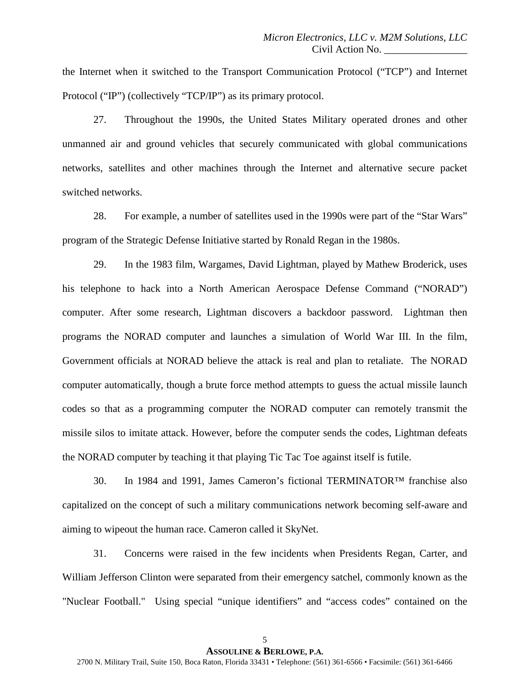the Internet when it switched to the Transport Communication Protocol ("TCP") and Internet Protocol ("IP") (collectively "TCP/IP") as its primary protocol.

27. Throughout the 1990s, the United States Military operated drones and other unmanned air and ground vehicles that securely communicated with global communications networks, satellites and other machines through the Internet and alternative secure packet switched networks.

28. For example, a number of satellites used in the 1990s were part of the "Star Wars" program of the Strategic Defense Initiative started by Ronald Regan in the 1980s.

29. In the 1983 film, Wargames, David Lightman, played by Mathew Broderick, uses his telephone to hack into a North American Aerospace Defense Command ("NORAD") computer. After some research, Lightman discovers a backdoor password. Lightman then programs the NORAD computer and launches a simulation of World War III. In the film, Government officials at NORAD believe the attack is real and plan to retaliate. The NORAD computer automatically, though a brute force method attempts to guess the actual missile launch codes so that as a programming computer the NORAD computer can remotely transmit the missile silos to imitate attack. However, before the computer sends the codes, Lightman defeats the NORAD computer by teaching it that playing Tic Tac Toe against itself is futile.

30. In 1984 and 1991, James Cameron's fictional TERMINATOR™ franchise also capitalized on the concept of such a military communications network becoming self-aware and aiming to wipeout the human race. Cameron called it SkyNet.

31. Concerns were raised in the few incidents when Presidents Regan, Carter, and William Jefferson Clinton were separated from their emergency satchel, commonly known as the "Nuclear Football." Using special "unique identifiers" and "access codes" contained on the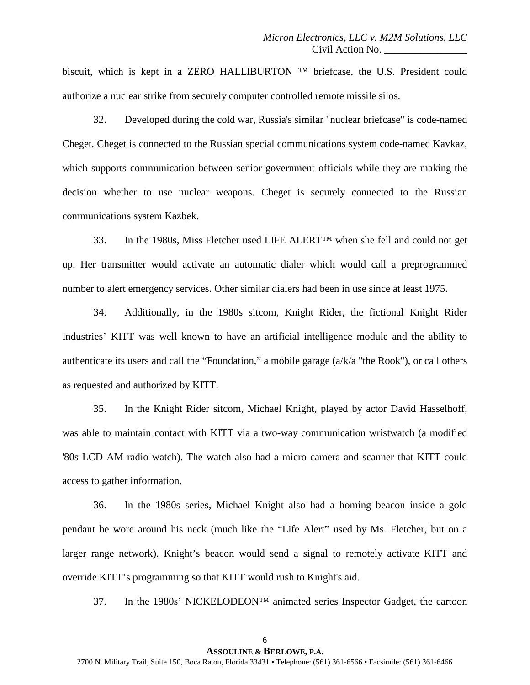biscuit, which is kept in a ZERO HALLIBURTON ™ briefcase, the U.S. President could authorize a nuclear strike from securely computer controlled remote missile silos.

32. Developed during the cold war, Russia's similar "nuclear briefcase" is code-named Cheget. Cheget is connected to the Russian special communications system code-named Kavkaz, which supports communication between senior government officials while they are making the decision whether to use nuclear weapons. Cheget is securely connected to the Russian communications system Kazbek.

33. In the 1980s, Miss Fletcher used LIFE ALERT™ when she fell and could not get up. Her transmitter would activate an automatic dialer which would call a preprogrammed number to alert emergency services. Other similar dialers had been in use since at least 1975.

34. Additionally, in the 1980s sitcom, Knight Rider, the fictional Knight Rider Industries' KITT was well known to have an artificial intelligence module and the ability to authenticate its users and call the "Foundation," a mobile garage (a/k/a "the Rook"), or call others as requested and authorized by KITT.

35. In the Knight Rider sitcom, Michael Knight, played by actor David Hasselhoff, was able to maintain contact with KITT via a two-way communication wristwatch (a modified '80s LCD AM radio watch). The watch also had a micro camera and scanner that KITT could access to gather information.

36. In the 1980s series, Michael Knight also had a homing beacon inside a gold pendant he wore around his neck (much like the "Life Alert" used by Ms. Fletcher, but on a larger range network). Knight's beacon would send a signal to remotely activate KITT and override KITT's programming so that KITT would rush to Knight's aid.

37. In the 1980s' NICKELODEON™ animated series Inspector Gadget, the cartoon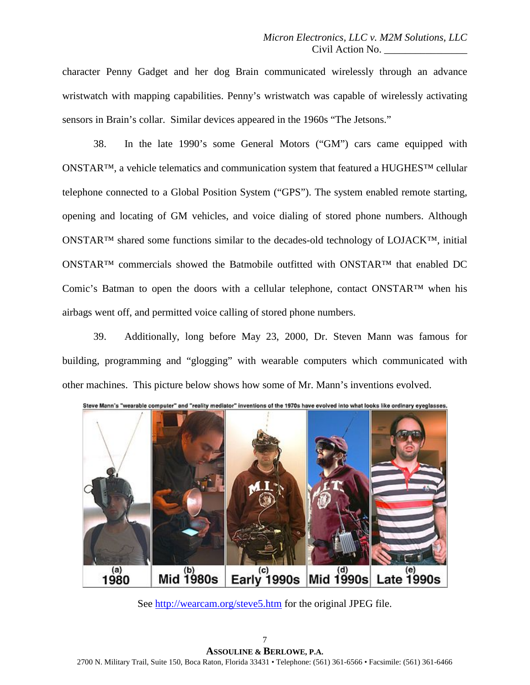character Penny Gadget and her dog Brain communicated wirelessly through an advance wristwatch with mapping capabilities. Penny's wristwatch was capable of wirelessly activating sensors in Brain's collar. Similar devices appeared in the 1960s "The Jetsons."

38. In the late 1990's some General Motors ("GM") cars came equipped with ONSTAR™, a vehicle telematics and communication system that featured a HUGHES™ cellular telephone connected to a Global Position System ("GPS"). The system enabled remote starting, opening and locating of GM vehicles, and voice dialing of stored phone numbers. Although ONSTAR™ shared some functions similar to the decades-old technology of LOJACK™, initial ONSTAR™ commercials showed the Batmobile outfitted with ONSTAR™ that enabled DC Comic's Batman to open the doors with a cellular telephone, contact ONSTAR™ when his airbags went off, and permitted voice calling of stored phone numbers.

39. Additionally, long before May 23, 2000, Dr. Steven Mann was famous for building, programming and "glogging" with wearable computers which communicated with other machines. This picture below shows how some of Mr. Mann's inventions evolved.



See<http://wearcam.org/steve5.htm> for the original JPEG file.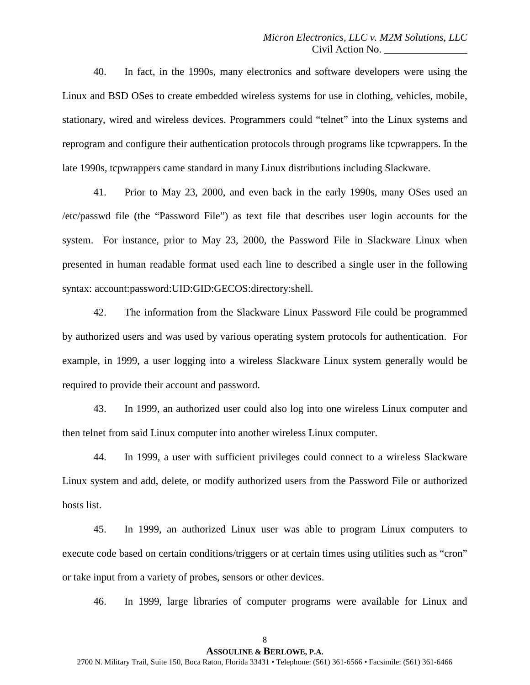40. In fact, in the 1990s, many electronics and software developers were using the Linux and BSD OSes to create embedded wireless systems for use in clothing, vehicles, mobile, stationary, wired and wireless devices. Programmers could "telnet" into the Linux systems and reprogram and configure their authentication protocols through programs like tcpwrappers. In the late 1990s, tcpwrappers came standard in many Linux distributions including Slackware.

41. Prior to May 23, 2000, and even back in the early 1990s, many OSes used an /etc/passwd file (the "Password File") as text file that describes user login accounts for the system. For instance, prior to May 23, 2000, the Password File in Slackware Linux when presented in human readable format used each line to described a single user in the following syntax: account:password:UID:GID:GECOS:directory:shell.

42. The information from the Slackware Linux Password File could be programmed by authorized users and was used by various operating system protocols for authentication. For example, in 1999, a user logging into a wireless Slackware Linux system generally would be required to provide their account and password.

43. In 1999, an authorized user could also log into one wireless Linux computer and then telnet from said Linux computer into another wireless Linux computer.

44. In 1999, a user with sufficient privileges could connect to a wireless Slackware Linux system and add, delete, or modify authorized users from the Password File or authorized hosts list.

45. In 1999, an authorized Linux user was able to program Linux computers to execute code based on certain conditions/triggers or at certain times using utilities such as "cron" or take input from a variety of probes, sensors or other devices.

46. In 1999, large libraries of computer programs were available for Linux and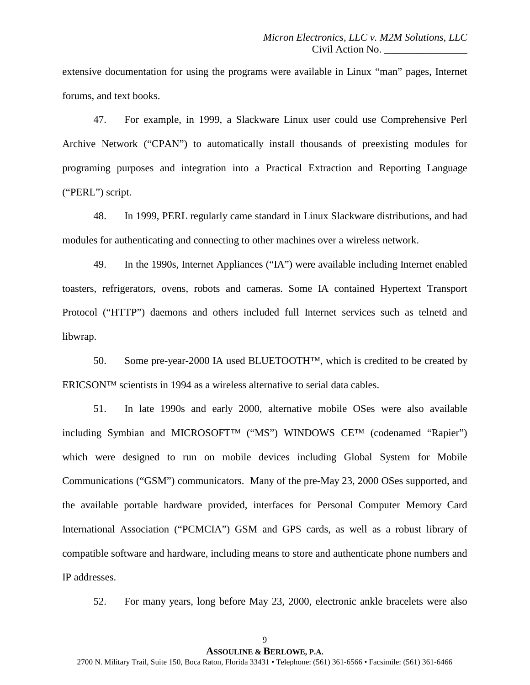extensive documentation for using the programs were available in Linux "man" pages, Internet forums, and text books.

47. For example, in 1999, a Slackware Linux user could use Comprehensive Perl Archive Network ("CPAN") to automatically install thousands of preexisting modules for programing purposes and integration into a Practical Extraction and Reporting Language ("PERL") script.

48. In 1999, PERL regularly came standard in Linux Slackware distributions, and had modules for authenticating and connecting to other machines over a wireless network.

49. In the 1990s, Internet Appliances ("IA") were available including Internet enabled toasters, refrigerators, ovens, robots and cameras. Some IA contained Hypertext Transport Protocol ("HTTP") daemons and others included full Internet services such as telnetd and libwrap.

50. Some pre-year-2000 IA used BLUETOOTH™, which is credited to be created by ERICSON™ scientists in 1994 as a wireless alternative to serial data cables.

51. In late 1990s and early 2000, alternative mobile OSes were also available including Symbian and MICROSOFT™ ("MS") WINDOWS CE™ (codenamed "Rapier") which were designed to run on mobile devices including Global System for Mobile Communications ("GSM") communicators. Many of the pre-May 23, 2000 OSes supported, and the available portable hardware provided, interfaces for Personal Computer Memory Card International Association ("PCMCIA") GSM and GPS cards, as well as a robust library of compatible software and hardware, including means to store and authenticate phone numbers and IP addresses.

52. For many years, long before May 23, 2000, electronic ankle bracelets were also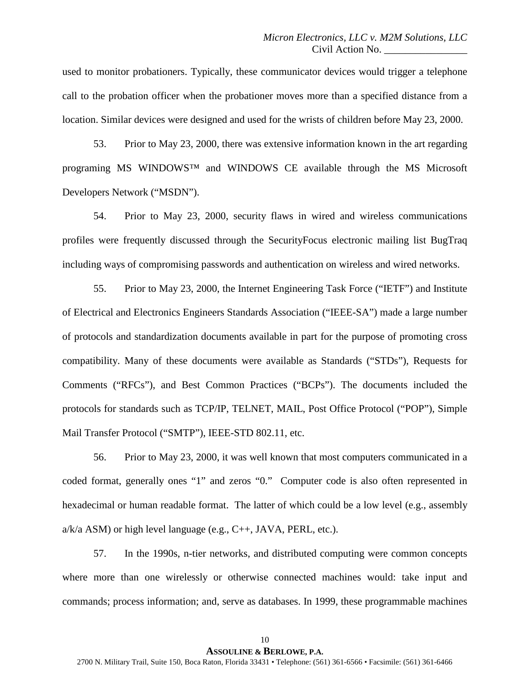used to monitor probationers. Typically, these communicator devices would trigger a telephone call to the probation officer when the probationer moves more than a specified distance from a location. Similar devices were designed and used for the wrists of children before May 23, 2000.

53. Prior to May 23, 2000, there was extensive information known in the art regarding programing MS WINDOWS™ and WINDOWS CE available through the MS Microsoft Developers Network ("MSDN").

54. Prior to May 23, 2000, security flaws in wired and wireless communications profiles were frequently discussed through the SecurityFocus electronic mailing list BugTraq including ways of compromising passwords and authentication on wireless and wired networks.

55. Prior to May 23, 2000, the Internet Engineering Task Force ("IETF") and Institute of Electrical and Electronics Engineers Standards Association ("IEEE-SA") made a large number of protocols and standardization documents available in part for the purpose of promoting cross compatibility. Many of these documents were available as Standards ("STDs"), Requests for Comments ("RFCs"), and Best Common Practices ("BCPs"). The documents included the protocols for standards such as TCP/IP, TELNET, MAIL, Post Office Protocol ("POP"), Simple Mail Transfer Protocol ("SMTP"), IEEE-STD 802.11, etc.

56. Prior to May 23, 2000, it was well known that most computers communicated in a coded format, generally ones "1" and zeros "0." Computer code is also often represented in hexadecimal or human readable format. The latter of which could be a low level (e.g., assembly  $a/k/a$  ASM) or high level language (e.g., C++, JAVA, PERL, etc.).

57. In the 1990s, n-tier networks, and distributed computing were common concepts where more than one wirelessly or otherwise connected machines would: take input and commands; process information; and, serve as databases. In 1999, these programmable machines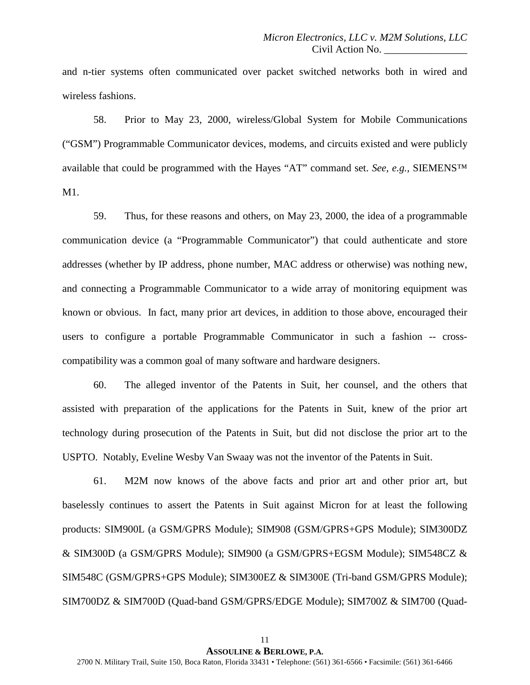and n-tier systems often communicated over packet switched networks both in wired and wireless fashions.

58. Prior to May 23, 2000, wireless/Global System for Mobile Communications ("GSM") Programmable Communicator devices, modems, and circuits existed and were publicly available that could be programmed with the Hayes "AT" command set. *See, e.g.,* SIEMENS™  $M1$ .

59. Thus, for these reasons and others, on May 23, 2000, the idea of a programmable communication device (a "Programmable Communicator") that could authenticate and store addresses (whether by IP address, phone number, MAC address or otherwise) was nothing new, and connecting a Programmable Communicator to a wide array of monitoring equipment was known or obvious. In fact, many prior art devices, in addition to those above, encouraged their users to configure a portable Programmable Communicator in such a fashion -- crosscompatibility was a common goal of many software and hardware designers.

60. The alleged inventor of the Patents in Suit, her counsel, and the others that assisted with preparation of the applications for the Patents in Suit, knew of the prior art technology during prosecution of the Patents in Suit, but did not disclose the prior art to the USPTO. Notably, Eveline Wesby Van Swaay was not the inventor of the Patents in Suit.

61. M2M now knows of the above facts and prior art and other prior art, but baselessly continues to assert the Patents in Suit against Micron for at least the following products: SIM900L (a GSM/GPRS Module); SIM908 (GSM/GPRS+GPS Module); SIM300DZ & SIM300D (a GSM/GPRS Module); SIM900 (a GSM/GPRS+EGSM Module); SIM548CZ & SIM548C (GSM/GPRS+GPS Module); SIM300EZ & SIM300E (Tri-band GSM/GPRS Module); SIM700DZ & SIM700D (Quad-band GSM/GPRS/EDGE Module); SIM700Z & SIM700 (Quad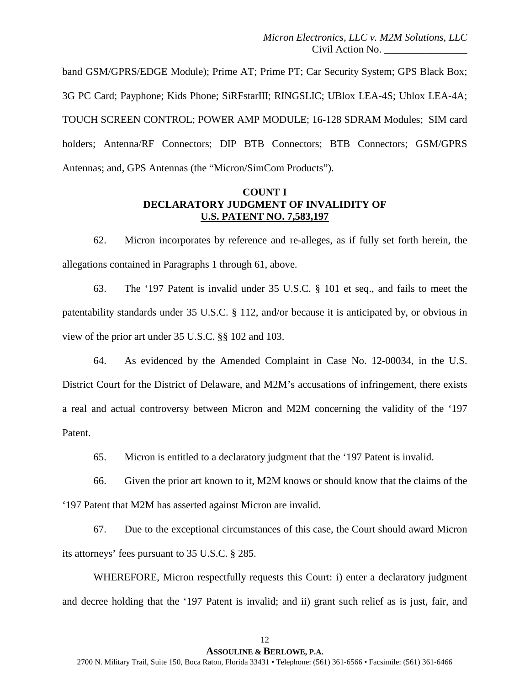band GSM/GPRS/EDGE Module); Prime AT; Prime PT; Car Security System; GPS Black Box; 3G PC Card; Payphone; Kids Phone; SiRFstarIII; RINGSLIC; UBlox LEA-4S; Ublox LEA-4A; TOUCH SCREEN CONTROL; POWER AMP MODULE; 16-128 SDRAM Modules; SIM card holders; Antenna/RF Connectors; DIP BTB Connectors; BTB Connectors; GSM/GPRS Antennas; and, GPS Antennas (the "Micron/SimCom Products").

#### **COUNT I DECLARATORY JUDGMENT OF INVALIDITY OF U.S. PATENT NO. 7,583,197**

62. Micron incorporates by reference and re-alleges, as if fully set forth herein, the allegations contained in Paragraphs 1 through 61, above.

63. The '197 Patent is invalid under 35 U.S.C. § 101 et seq., and fails to meet the patentability standards under 35 U.S.C. § 112, and/or because it is anticipated by, or obvious in view of the prior art under 35 U.S.C. §§ 102 and 103.

64. As evidenced by the Amended Complaint in Case No. 12-00034, in the U.S. District Court for the District of Delaware, and M2M's accusations of infringement, there exists a real and actual controversy between Micron and M2M concerning the validity of the '197 Patent.

65. Micron is entitled to a declaratory judgment that the '197 Patent is invalid.

66. Given the prior art known to it, M2M knows or should know that the claims of the '197 Patent that M2M has asserted against Micron are invalid.

67. Due to the exceptional circumstances of this case, the Court should award Micron its attorneys' fees pursuant to 35 U.S.C. § 285.

WHEREFORE, Micron respectfully requests this Court: i) enter a declaratory judgment and decree holding that the '197 Patent is invalid; and ii) grant such relief as is just, fair, and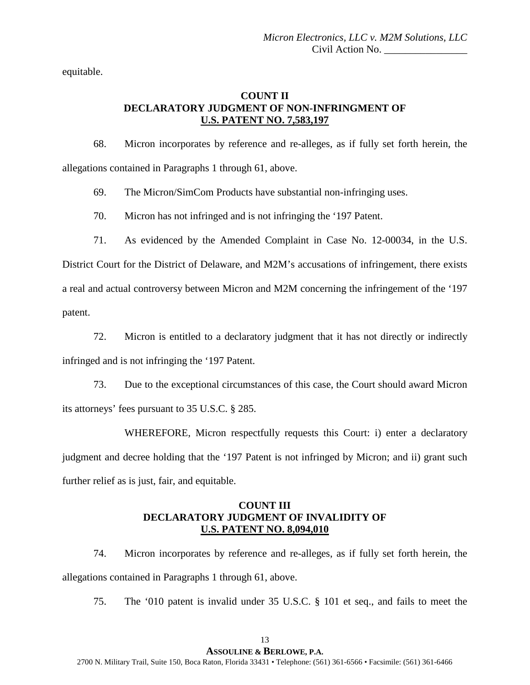equitable.

## **COUNT II DECLARATORY JUDGMENT OF NON-INFRINGMENT OF U.S. PATENT NO. 7,583,197**

68. Micron incorporates by reference and re-alleges, as if fully set forth herein, the allegations contained in Paragraphs 1 through 61, above.

69. The Micron/SimCom Products have substantial non-infringing uses.

70. Micron has not infringed and is not infringing the '197 Patent.

71. As evidenced by the Amended Complaint in Case No. 12-00034, in the U.S. District Court for the District of Delaware, and M2M's accusations of infringement, there exists a real and actual controversy between Micron and M2M concerning the infringement of the '197 patent.

72. Micron is entitled to a declaratory judgment that it has not directly or indirectly infringed and is not infringing the '197 Patent.

73. Due to the exceptional circumstances of this case, the Court should award Micron its attorneys' fees pursuant to 35 U.S.C. § 285.

WHEREFORE, Micron respectfully requests this Court: i) enter a declaratory judgment and decree holding that the '197 Patent is not infringed by Micron; and ii) grant such further relief as is just, fair, and equitable.

# **COUNT III DECLARATORY JUDGMENT OF INVALIDITY OF U.S. PATENT NO. 8,094,010**

74. Micron incorporates by reference and re-alleges, as if fully set forth herein, the allegations contained in Paragraphs 1 through 61, above.

75. The '010 patent is invalid under 35 U.S.C. § 101 et seq., and fails to meet the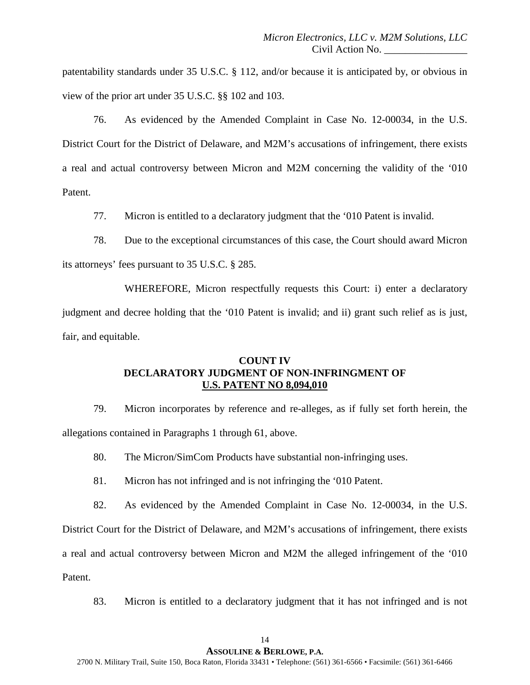patentability standards under 35 U.S.C. § 112, and/or because it is anticipated by, or obvious in view of the prior art under 35 U.S.C. §§ 102 and 103.

76. As evidenced by the Amended Complaint in Case No. 12-00034, in the U.S. District Court for the District of Delaware, and M2M's accusations of infringement, there exists a real and actual controversy between Micron and M2M concerning the validity of the '010 Patent.

77. Micron is entitled to a declaratory judgment that the '010 Patent is invalid.

78. Due to the exceptional circumstances of this case, the Court should award Micron its attorneys' fees pursuant to 35 U.S.C. § 285.

WHEREFORE, Micron respectfully requests this Court: i) enter a declaratory judgment and decree holding that the '010 Patent is invalid; and ii) grant such relief as is just, fair, and equitable.

#### **COUNT IV DECLARATORY JUDGMENT OF NON-INFRINGMENT OF U.S. PATENT NO 8,094,010**

79. Micron incorporates by reference and re-alleges, as if fully set forth herein, the allegations contained in Paragraphs 1 through 61, above.

80. The Micron/SimCom Products have substantial non-infringing uses.

81. Micron has not infringed and is not infringing the '010 Patent.

82. As evidenced by the Amended Complaint in Case No. 12-00034, in the U.S.

District Court for the District of Delaware, and M2M's accusations of infringement, there exists a real and actual controversy between Micron and M2M the alleged infringement of the '010 Patent.

83. Micron is entitled to a declaratory judgment that it has not infringed and is not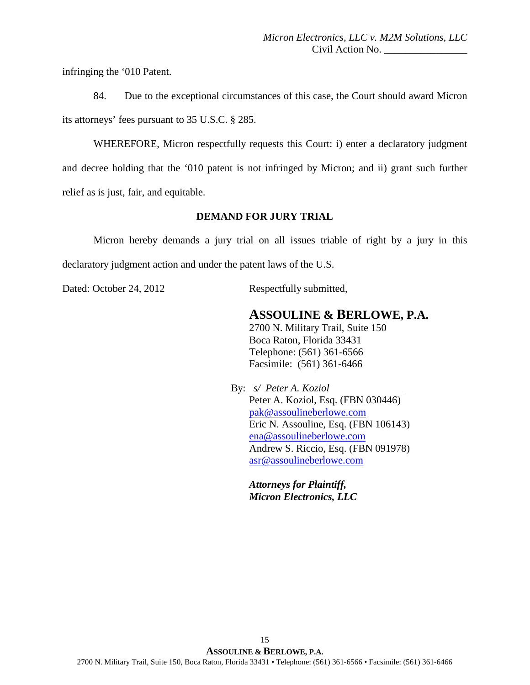infringing the '010 Patent.

84. Due to the exceptional circumstances of this case, the Court should award Micron its attorneys' fees pursuant to 35 U.S.C. § 285.

WHEREFORE, Micron respectfully requests this Court: i) enter a declaratory judgment and decree holding that the '010 patent is not infringed by Micron; and ii) grant such further relief as is just, fair, and equitable.

#### **DEMAND FOR JURY TRIAL**

Micron hereby demands a jury trial on all issues triable of right by a jury in this declaratory judgment action and under the patent laws of the U.S.

Dated: October 24, 2012 Respectfully submitted,

# **ASSOULINE & BERLOWE, P.A.**

2700 N. Military Trail, Suite 150 Boca Raton, Florida 33431 Telephone: (561) 361-6566 Facsimile: (561) 361-6466

 By: *s/ Peter A. Koziol* Peter A. Koziol, Esq. (FBN 030446) [pak@assoulineberlowe.com](mailto:pak@assoulineberlowe.com) Eric N. Assouline, Esq. (FBN 106143) [ena@assoulineberlowe.com](mailto:ena@assoulineberlowe.com) Andrew S. Riccio, Esq. (FBN 091978) [asr@assoulineberlowe.com](mailto:asr@assoulineberlowe.com)

*Attorneys for Plaintiff, Micron Electronics, LLC*